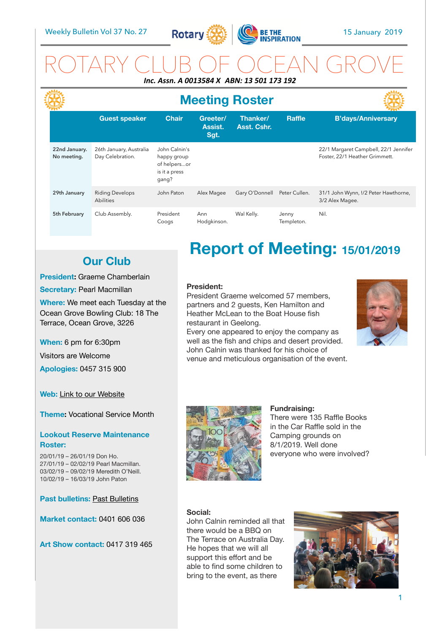**LAAL** 



### ROTARY CLUB OF OCEAN GROVE *Inc. Assn. A 0013584 X ABN: 13 501 173 192*

|                              | <b>Meeting Roster</b>                       |                                                                        |                             |                         |                     |                                                                         |  |
|------------------------------|---------------------------------------------|------------------------------------------------------------------------|-----------------------------|-------------------------|---------------------|-------------------------------------------------------------------------|--|
|                              | <b>Guest speaker</b>                        | <b>Chair</b>                                                           | Greeter/<br>Assist.<br>Sgt. | Thanker/<br>Asst. Cshr. | <b>Raffle</b>       | <b>B'days/Anniversary</b>                                               |  |
| 22nd January.<br>No meeting. | 26th January, Australia<br>Day Celebration. | John Calnin's<br>happy group<br>of helpersor<br>is it a press<br>qang? |                             |                         |                     | 22/1 Margaret Campbell, 22/1 Jennifer<br>Foster, 22/1 Heather Grimmett. |  |
| 29th January                 | <b>Riding Develops</b><br><b>Abilities</b>  | John Paton                                                             | Alex Magee                  | Gary O'Donnell          | Peter Cullen.       | 31/1 John Wynn, !/2 Peter Hawthorne,<br>3/2 Alex Magee.                 |  |
| 5th February                 | Club Assembly.                              | President<br>Coogs                                                     | Ann<br>Hodgkinson.          | Wal Kelly.              | Jenny<br>Templeton. | Nil.                                                                    |  |

### **Our Club**

#### **President:** Graeme Chamberlain

**Secretary: Pearl Macmillan** 

**Where:** We meet each Tuesday at the Ocean Grove Bowling Club: 18 The Terrace, Ocean Grove, 3226

**When:** 6 pm for 6:30pm

Visitors are Welcome

**Apologies:** 0457 315 900

**Web:** Link to our Website

**Theme:** Vocational Service Month

#### **Lookout Reserve Maintenance Roster:**

20/01/19 – 26/01/19 Don Ho. 27/01/19 – 02/02/19 Pearl Macmillan. 03/02/19 – 09/02/19 Meredith O'Neill. 10/02/19 – 16/03/19 John Paton

**Past bulletins: Past Bulletins** 

**Market contact:** 0401 606 036

**Art Show contact:** 0417 319 465

# **Report of Meeting: 15/01/2019**

#### **President:**

President Graeme welcomed 57 members, partners and 2 guests, Ken Hamilton and Heather McLean to the Boat House fish restaurant in Geelong.

Every one appeared to enjoy the company as well as the fish and chips and desert provided. John Calnin was thanked for his choice of venue and meticulous organisation of the event.





**Fundraising:**  There were 135 Raffle Books in the Car Raffle sold in the Camping grounds on 8/1/2019. Well done

everyone who were involved?

#### **Social:**

John Calnin reminded all that there would be a BBQ on The Terrace on Australia Day. He hopes that we will all support this effort and be able to find some children to bring to the event, as there